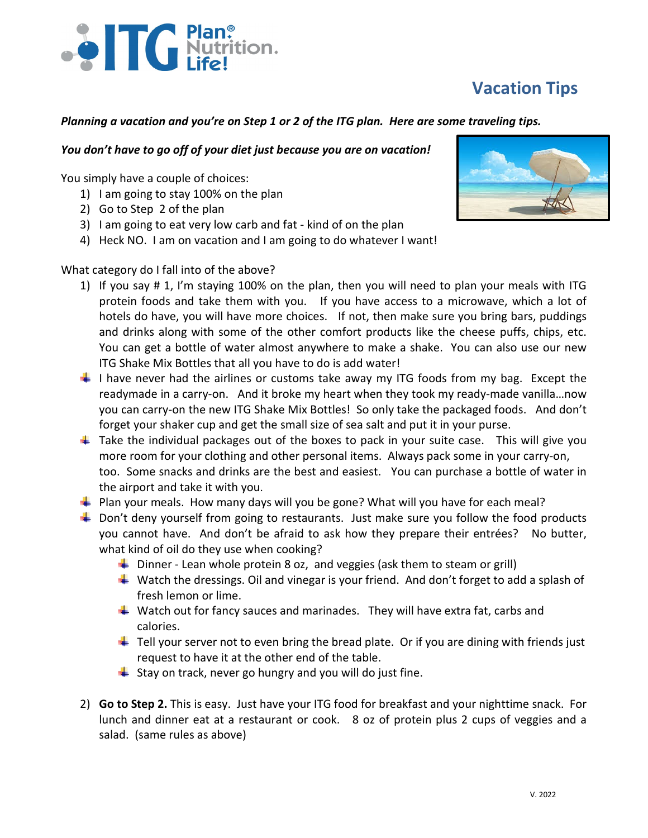## **Vacation Tips**

# 

#### *Planning a vacation and you're on Step 1 or 2 of the ITG plan. Here are some traveling tips.*

#### *You don't have to go off of your diet just because you are on vacation!*

You simply have a couple of choices:

- 1) I am going to stay 100% on the plan
- 2) Go to Step 2 of the plan
- 3) I am going to eat very low carb and fat kind of on the plan
- 4) Heck NO. I am on vacation and I am going to do whatever I want!

### What category do I fall into of the above?

- 1) If you say # 1, I'm staying 100% on the plan, then you will need to plan your meals with ITG protein foods and take them with you. If you have access to a microwave, which a lot of hotels do have, you will have more choices. If not, then make sure you bring bars, puddings and drinks along with some of the other comfort products like the cheese puffs, chips, etc. You can get a bottle of water almost anywhere to make a shake. You can also use our new ITG Shake Mix Bottles that all you have to do is add water!
- $\downarrow$  I have never had the airlines or customs take away my ITG foods from my bag. Except the readymade in a carry-on. And it broke my heart when they took my ready-made vanilla…now you can carry-on the new ITG Shake Mix Bottles! So only take the packaged foods. And don't forget your shaker cup and get the small size of sea salt and put it in your purse.
- $\ddot{+}$  Take the individual packages out of the boxes to pack in your suite case. This will give you more room for your clothing and other personal items. Always pack some in your carry-on, too. Some snacks and drinks are the best and easiest. You can purchase a bottle of water in the airport and take it with you.
- **Plan your meals. How many days will you be gone? What will you have for each meal?**
- $\ddot{+}$  Don't deny yourself from going to restaurants. Just make sure you follow the food products you cannot have. And don't be afraid to ask how they prepare their entrées? No butter, what kind of oil do they use when cooking?
	- $\downarrow$  Dinner Lean whole protein 8 oz, and veggies (ask them to steam or grill)
	- $\downarrow$  Watch the dressings. Oil and vinegar is your friend. And don't forget to add a splash of fresh lemon or lime.
	- $\downarrow$  Watch out for fancy sauces and marinades. They will have extra fat, carbs and calories.
	- $\downarrow$  Tell your server not to even bring the bread plate. Or if you are dining with friends just request to have it at the other end of the table.
	- $\frac{1}{2}$  Stay on track, never go hungry and you will do just fine.
- 2) **Go to Step 2.** This is easy. Just have your ITG food for breakfast and your nighttime snack. For lunch and dinner eat at a restaurant or cook. 8 oz of protein plus 2 cups of veggies and a salad. (same rules as above)